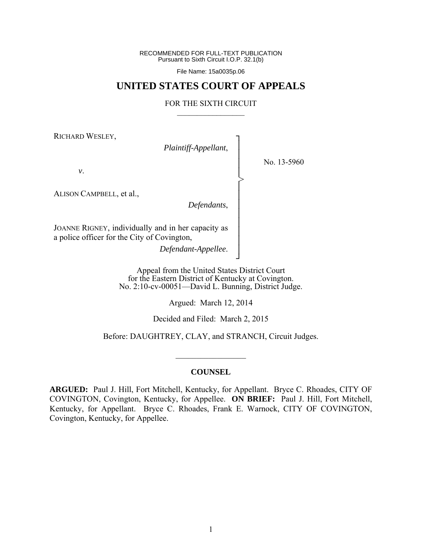RECOMMENDED FOR FULL-TEXT PUBLICATION Pursuant to Sixth Circuit I.O.P. 32.1(b)

File Name: 15a0035p.06

# **UNITED STATES COURT OF APPEALS**

#### FOR THE SIXTH CIRCUIT  $\mathcal{L}_\text{max}$

┐ │ │ │ │ │ │ │ │ │ │ │ │ ┘

>

RICHARD WESLEY,

*Plaintiff-Appellant*,

No. 13-5960

*v*.

ALISON CAMPBELL, et al.,

*Defendants*,

JOANNE RIGNEY, individually and in her capacity as a police officer for the City of Covington,

*Defendant-Appellee*.

Appeal from the United States District Court for the Eastern District of Kentucky at Covington. No. 2:10-cv-00051—David L. Bunning, District Judge.

Argued: March 12, 2014

Decided and Filed: March 2, 2015

Before: DAUGHTREY, CLAY, and STRANCH, Circuit Judges.

## **COUNSEL**

 $\frac{1}{2}$ 

**ARGUED:** Paul J. Hill, Fort Mitchell, Kentucky, for Appellant. Bryce C. Rhoades, CITY OF COVINGTON, Covington, Kentucky, for Appellee. **ON BRIEF:** Paul J. Hill, Fort Mitchell, Kentucky, for Appellant. Bryce C. Rhoades, Frank E. Warnock, CITY OF COVINGTON, Covington, Kentucky, for Appellee.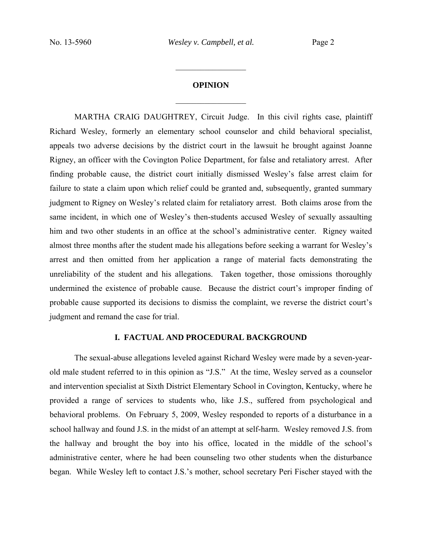# **OPINION**  $\frac{1}{2}$

 $\frac{1}{2}$ 

 MARTHA CRAIG DAUGHTREY, Circuit Judge. In this civil rights case, plaintiff Richard Wesley, formerly an elementary school counselor and child behavioral specialist, appeals two adverse decisions by the district court in the lawsuit he brought against Joanne Rigney, an officer with the Covington Police Department, for false and retaliatory arrest. After finding probable cause, the district court initially dismissed Wesley's false arrest claim for failure to state a claim upon which relief could be granted and, subsequently, granted summary judgment to Rigney on Wesley's related claim for retaliatory arrest. Both claims arose from the same incident, in which one of Wesley's then-students accused Wesley of sexually assaulting him and two other students in an office at the school's administrative center. Rigney waited almost three months after the student made his allegations before seeking a warrant for Wesley's arrest and then omitted from her application a range of material facts demonstrating the unreliability of the student and his allegations. Taken together, those omissions thoroughly undermined the existence of probable cause. Because the district court's improper finding of probable cause supported its decisions to dismiss the complaint, we reverse the district court's judgment and remand the case for trial.

## **I. FACTUAL AND PROCEDURAL BACKGROUND**

 The sexual-abuse allegations leveled against Richard Wesley were made by a seven-yearold male student referred to in this opinion as "J.S." At the time, Wesley served as a counselor and intervention specialist at Sixth District Elementary School in Covington, Kentucky, where he provided a range of services to students who, like J.S., suffered from psychological and behavioral problems. On February 5, 2009, Wesley responded to reports of a disturbance in a school hallway and found J.S. in the midst of an attempt at self-harm. Wesley removed J.S. from the hallway and brought the boy into his office, located in the middle of the school's administrative center, where he had been counseling two other students when the disturbance began. While Wesley left to contact J.S.'s mother, school secretary Peri Fischer stayed with the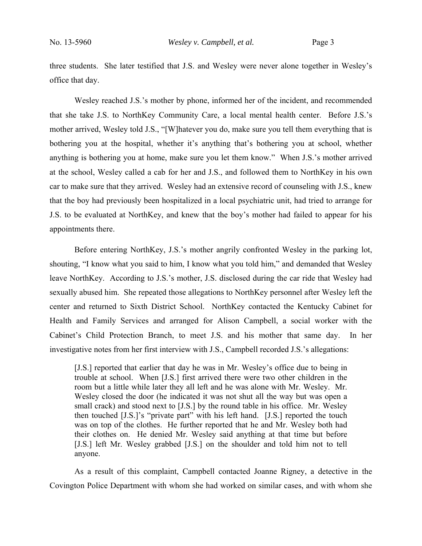three students. She later testified that J.S. and Wesley were never alone together in Wesley's office that day.

Wesley reached J.S.'s mother by phone, informed her of the incident, and recommended that she take J.S. to NorthKey Community Care, a local mental health center. Before J.S.'s mother arrived, Wesley told J.S., "[W]hatever you do, make sure you tell them everything that is bothering you at the hospital, whether it's anything that's bothering you at school, whether anything is bothering you at home, make sure you let them know." When J.S.'s mother arrived at the school, Wesley called a cab for her and J.S., and followed them to NorthKey in his own car to make sure that they arrived. Wesley had an extensive record of counseling with J.S., knew that the boy had previously been hospitalized in a local psychiatric unit, had tried to arrange for J.S. to be evaluated at NorthKey, and knew that the boy's mother had failed to appear for his appointments there.

Before entering NorthKey, J.S.'s mother angrily confronted Wesley in the parking lot, shouting, "I know what you said to him, I know what you told him," and demanded that Wesley leave NorthKey. According to J.S.'s mother, J.S. disclosed during the car ride that Wesley had sexually abused him. She repeated those allegations to NorthKey personnel after Wesley left the center and returned to Sixth District School. NorthKey contacted the Kentucky Cabinet for Health and Family Services and arranged for Alison Campbell, a social worker with the Cabinet's Child Protection Branch, to meet J.S. and his mother that same day. In her investigative notes from her first interview with J.S., Campbell recorded J.S.'s allegations:

[J.S.] reported that earlier that day he was in Mr. Wesley's office due to being in trouble at school. When [J.S.] first arrived there were two other children in the room but a little while later they all left and he was alone with Mr. Wesley. Mr. Wesley closed the door (he indicated it was not shut all the way but was open a small crack) and stood next to [J.S.] by the round table in his office. Mr. Wesley then touched [J.S.]'s "private part" with his left hand. [J.S.] reported the touch was on top of the clothes. He further reported that he and Mr. Wesley both had their clothes on. He denied Mr. Wesley said anything at that time but before [J.S.] left Mr. Wesley grabbed [J.S.] on the shoulder and told him not to tell anyone.

 As a result of this complaint, Campbell contacted Joanne Rigney, a detective in the Covington Police Department with whom she had worked on similar cases, and with whom she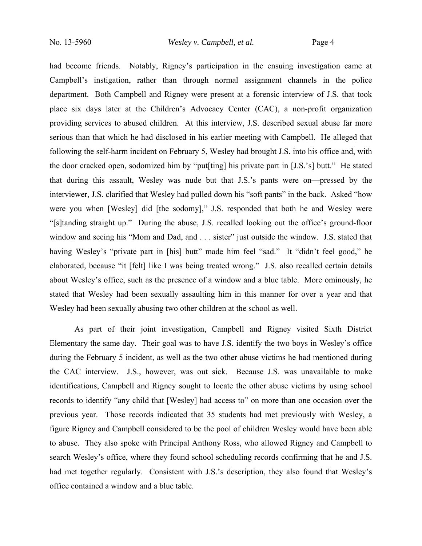had become friends. Notably, Rigney's participation in the ensuing investigation came at Campbell's instigation, rather than through normal assignment channels in the police department. Both Campbell and Rigney were present at a forensic interview of J.S. that took place six days later at the Children's Advocacy Center (CAC), a non-profit organization providing services to abused children. At this interview, J.S. described sexual abuse far more serious than that which he had disclosed in his earlier meeting with Campbell. He alleged that following the self-harm incident on February 5, Wesley had brought J.S. into his office and, with the door cracked open, sodomized him by "put[ting] his private part in [J.S.'s] butt." He stated that during this assault, Wesley was nude but that J.S.'s pants were on—pressed by the interviewer, J.S. clarified that Wesley had pulled down his "soft pants" in the back. Asked "how were you when [Wesley] did [the sodomy]," J.S. responded that both he and Wesley were "[s]tanding straight up." During the abuse, J.S. recalled looking out the office's ground-floor window and seeing his "Mom and Dad, and . . . sister" just outside the window. J.S. stated that having Wesley's "private part in [his] butt" made him feel "sad." It "didn't feel good," he elaborated, because "it [felt] like I was being treated wrong." J.S. also recalled certain details about Wesley's office, such as the presence of a window and a blue table. More ominously, he stated that Wesley had been sexually assaulting him in this manner for over a year and that Wesley had been sexually abusing two other children at the school as well.

 As part of their joint investigation, Campbell and Rigney visited Sixth District Elementary the same day. Their goal was to have J.S. identify the two boys in Wesley's office during the February 5 incident, as well as the two other abuse victims he had mentioned during the CAC interview. J.S., however, was out sick. Because J.S. was unavailable to make identifications, Campbell and Rigney sought to locate the other abuse victims by using school records to identify "any child that [Wesley] had access to" on more than one occasion over the previous year. Those records indicated that 35 students had met previously with Wesley, a figure Rigney and Campbell considered to be the pool of children Wesley would have been able to abuse. They also spoke with Principal Anthony Ross, who allowed Rigney and Campbell to search Wesley's office, where they found school scheduling records confirming that he and J.S. had met together regularly. Consistent with J.S.'s description, they also found that Wesley's office contained a window and a blue table.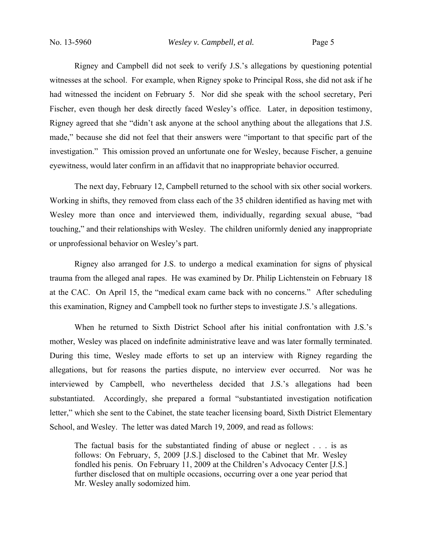Rigney and Campbell did not seek to verify J.S.'s allegations by questioning potential witnesses at the school. For example, when Rigney spoke to Principal Ross, she did not ask if he had witnessed the incident on February 5. Nor did she speak with the school secretary, Peri Fischer, even though her desk directly faced Wesley's office. Later, in deposition testimony, Rigney agreed that she "didn't ask anyone at the school anything about the allegations that J.S. made," because she did not feel that their answers were "important to that specific part of the investigation." This omission proved an unfortunate one for Wesley, because Fischer, a genuine eyewitness, would later confirm in an affidavit that no inappropriate behavior occurred.

 The next day, February 12, Campbell returned to the school with six other social workers. Working in shifts, they removed from class each of the 35 children identified as having met with Wesley more than once and interviewed them, individually, regarding sexual abuse, "bad touching," and their relationships with Wesley. The children uniformly denied any inappropriate or unprofessional behavior on Wesley's part.

 Rigney also arranged for J.S. to undergo a medical examination for signs of physical trauma from the alleged anal rapes. He was examined by Dr. Philip Lichtenstein on February 18 at the CAC. On April 15, the "medical exam came back with no concerns." After scheduling this examination, Rigney and Campbell took no further steps to investigate J.S.'s allegations.

When he returned to Sixth District School after his initial confrontation with J.S.'s mother, Wesley was placed on indefinite administrative leave and was later formally terminated. During this time, Wesley made efforts to set up an interview with Rigney regarding the allegations, but for reasons the parties dispute, no interview ever occurred. Nor was he interviewed by Campbell, who nevertheless decided that J.S.'s allegations had been substantiated. Accordingly, she prepared a formal "substantiated investigation notification letter," which she sent to the Cabinet, the state teacher licensing board, Sixth District Elementary School, and Wesley. The letter was dated March 19, 2009, and read as follows:

The factual basis for the substantiated finding of abuse or neglect . . . is as follows: On February, 5, 2009 [J.S.] disclosed to the Cabinet that Mr. Wesley fondled his penis. On February 11, 2009 at the Children's Advocacy Center [J.S.] further disclosed that on multiple occasions, occurring over a one year period that Mr. Wesley anally sodomized him.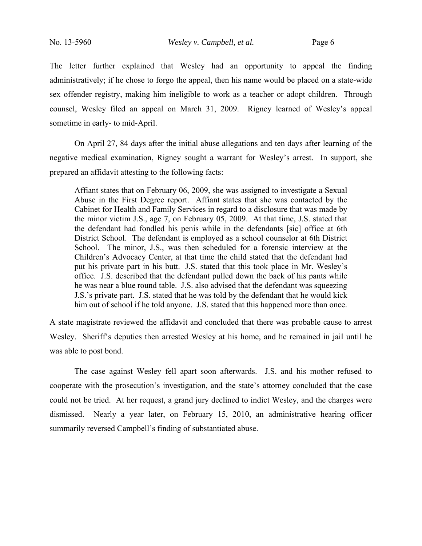The letter further explained that Wesley had an opportunity to appeal the finding administratively; if he chose to forgo the appeal, then his name would be placed on a state-wide sex offender registry, making him ineligible to work as a teacher or adopt children. Through counsel, Wesley filed an appeal on March 31, 2009. Rigney learned of Wesley's appeal sometime in early- to mid-April.

On April 27, 84 days after the initial abuse allegations and ten days after learning of the negative medical examination, Rigney sought a warrant for Wesley's arrest. In support, she prepared an affidavit attesting to the following facts:

Affiant states that on February 06, 2009, she was assigned to investigate a Sexual Abuse in the First Degree report. Affiant states that she was contacted by the Cabinet for Health and Family Services in regard to a disclosure that was made by the minor victim J.S., age 7, on February 05, 2009. At that time, J.S. stated that the defendant had fondled his penis while in the defendants [sic] office at 6th District School. The defendant is employed as a school counselor at 6th District School. The minor, J.S., was then scheduled for a forensic interview at the Children's Advocacy Center, at that time the child stated that the defendant had put his private part in his butt. J.S. stated that this took place in Mr. Wesley's office. J.S. described that the defendant pulled down the back of his pants while he was near a blue round table. J.S. also advised that the defendant was squeezing J.S.'s private part. J.S. stated that he was told by the defendant that he would kick him out of school if he told anyone. J.S. stated that this happened more than once.

A state magistrate reviewed the affidavit and concluded that there was probable cause to arrest Wesley. Sheriff's deputies then arrested Wesley at his home, and he remained in jail until he was able to post bond.

The case against Wesley fell apart soon afterwards. J.S. and his mother refused to cooperate with the prosecution's investigation, and the state's attorney concluded that the case could not be tried. At her request, a grand jury declined to indict Wesley, and the charges were dismissed. Nearly a year later, on February 15, 2010, an administrative hearing officer summarily reversed Campbell's finding of substantiated abuse.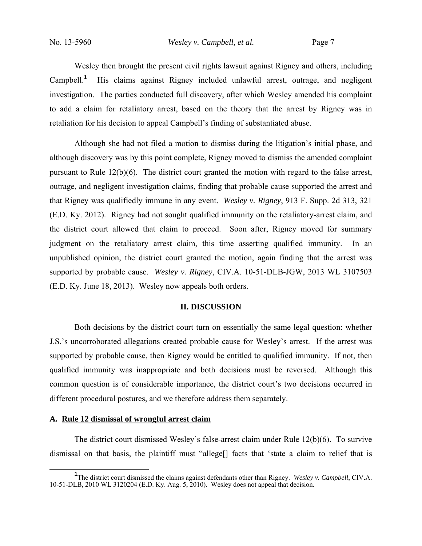Wesley then brought the present civil rights lawsuit against Rigney and others, including Campbell.<sup>1</sup> His claims against Rigney included unlawful arrest, outrage, and negligent investigation. The parties conducted full discovery, after which Wesley amended his complaint to add a claim for retaliatory arrest, based on the theory that the arrest by Rigney was in retaliation for his decision to appeal Campbell's finding of substantiated abuse.

 Although she had not filed a motion to dismiss during the litigation's initial phase, and although discovery was by this point complete, Rigney moved to dismiss the amended complaint pursuant to Rule 12(b)(6). The district court granted the motion with regard to the false arrest, outrage, and negligent investigation claims, finding that probable cause supported the arrest and that Rigney was qualifiedly immune in any event. *Wesley v. Rigney*, 913 F. Supp. 2d 313, 321 (E.D. Ky. 2012). Rigney had not sought qualified immunity on the retaliatory-arrest claim, and the district court allowed that claim to proceed. Soon after, Rigney moved for summary judgment on the retaliatory arrest claim, this time asserting qualified immunity. In an unpublished opinion, the district court granted the motion, again finding that the arrest was supported by probable cause. *Wesley v. Rigney*, CIV.A. 10-51-DLB-JGW, 2013 WL 3107503 (E.D. Ky. June 18, 2013). Wesley now appeals both orders.

#### **II. DISCUSSION**

 Both decisions by the district court turn on essentially the same legal question: whether J.S.'s uncorroborated allegations created probable cause for Wesley's arrest. If the arrest was supported by probable cause, then Rigney would be entitled to qualified immunity. If not, then qualified immunity was inappropriate and both decisions must be reversed. Although this common question is of considerable importance, the district court's two decisions occurred in different procedural postures, and we therefore address them separately.

#### **A. Rule 12 dismissal of wrongful arrest claim**

 The district court dismissed Wesley's false-arrest claim under Rule 12(b)(6). To survive dismissal on that basis, the plaintiff must "allege[] facts that 'state a claim to relief that is

<sup>&</sup>lt;sup>1</sup>The district court dismissed the claims against defendants other than Rigney. *Wesley v. Campbell*, CIV.A. 10-51-DLB, 2010 WL 3120204 (E.D. Ky. Aug. 5, 2010). Wesley does not appeal that decision.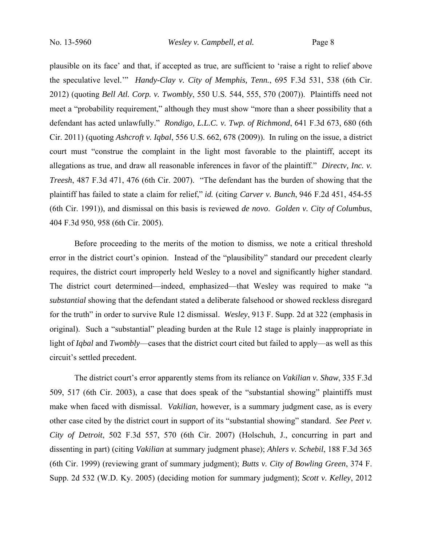plausible on its face' and that, if accepted as true, are sufficient to 'raise a right to relief above the speculative level.'" *Handy-Clay v. City of Memphis, Tenn.*, 695 F.3d 531, 538 (6th Cir. 2012) (quoting *Bell Atl. Corp. v. Twombly*, 550 U.S. 544, 555, 570 (2007)). Plaintiffs need not meet a "probability requirement," although they must show "more than a sheer possibility that a defendant has acted unlawfully." *Rondigo, L.L.C. v. Twp. of Richmond*, 641 F.3d 673, 680 (6th Cir. 2011) (quoting *Ashcroft v. Iqbal*, 556 U.S. 662, 678 (2009)). In ruling on the issue, a district court must "construe the complaint in the light most favorable to the plaintiff, accept its allegations as true, and draw all reasonable inferences in favor of the plaintiff." *Directv, Inc. v. Treesh*, 487 F.3d 471, 476 (6th Cir. 2007). "The defendant has the burden of showing that the plaintiff has failed to state a claim for relief," *id.* (citing *Carver v. Bunch*, 946 F.2d 451, 454-55 (6th Cir. 1991)), and dismissal on this basis is reviewed *de novo*. *Golden v. City of Columbus*, 404 F.3d 950, 958 (6th Cir. 2005).

Before proceeding to the merits of the motion to dismiss, we note a critical threshold error in the district court's opinion. Instead of the "plausibility" standard our precedent clearly requires, the district court improperly held Wesley to a novel and significantly higher standard. The district court determined—indeed, emphasized—that Wesley was required to make "a *substantial* showing that the defendant stated a deliberate falsehood or showed reckless disregard for the truth" in order to survive Rule 12 dismissal. *Wesley*, 913 F. Supp. 2d at 322 (emphasis in original). Such a "substantial" pleading burden at the Rule 12 stage is plainly inappropriate in light of *Iqbal* and *Twombly*—cases that the district court cited but failed to apply—as well as this circuit's settled precedent.

The district court's error apparently stems from its reliance on *Vakilian v. Shaw*, 335 F.3d 509, 517 (6th Cir. 2003), a case that does speak of the "substantial showing" plaintiffs must make when faced with dismissal. *Vakilian*, however, is a summary judgment case, as is every other case cited by the district court in support of its "substantial showing" standard. *See Peet v. City of Detroit*, 502 F.3d 557, 570 (6th Cir. 2007) (Holschuh, J., concurring in part and dissenting in part) (citing *Vakilian* at summary judgment phase); *Ahlers v. Schebil*, 188 F.3d 365 (6th Cir. 1999) (reviewing grant of summary judgment); *Butts v. City of Bowling Green*, 374 F. Supp. 2d 532 (W.D. Ky. 2005) (deciding motion for summary judgment); *Scott v. Kelley*, 2012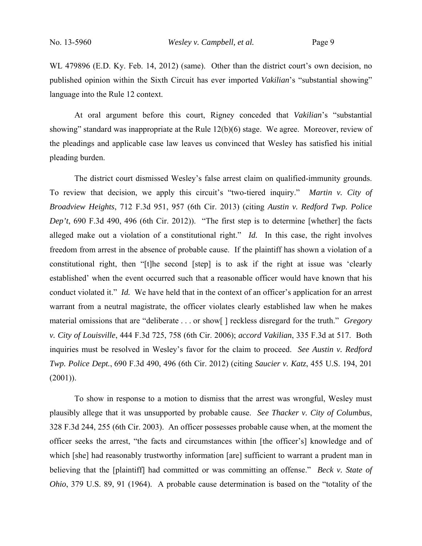WL 479896 (E.D. Ky. Feb. 14, 2012) (same). Other than the district court's own decision, no published opinion within the Sixth Circuit has ever imported *Vakilian*'s "substantial showing" language into the Rule 12 context.

At oral argument before this court, Rigney conceded that *Vakilian*'s "substantial showing" standard was inappropriate at the Rule 12(b)(6) stage. We agree. Moreover, review of the pleadings and applicable case law leaves us convinced that Wesley has satisfied his initial pleading burden.

The district court dismissed Wesley's false arrest claim on qualified-immunity grounds. To review that decision, we apply this circuit's "two-tiered inquiry." *Martin v. City of Broadview Heights*, 712 F.3d 951, 957 (6th Cir. 2013) (citing *Austin v. Redford Twp. Police Dep't*, 690 F.3d 490, 496 (6th Cir. 2012)). "The first step is to determine [whether] the facts alleged make out a violation of a constitutional right." *Id.* In this case, the right involves freedom from arrest in the absence of probable cause. If the plaintiff has shown a violation of a constitutional right, then "[t]he second [step] is to ask if the right at issue was 'clearly established' when the event occurred such that a reasonable officer would have known that his conduct violated it." *Id.* We have held that in the context of an officer's application for an arrest warrant from a neutral magistrate, the officer violates clearly established law when he makes material omissions that are "deliberate . . . or show[ ] reckless disregard for the truth." *Gregory v. City of Louisville*, 444 F.3d 725, 758 (6th Cir. 2006); *accord Vakilian*, 335 F.3d at 517. Both inquiries must be resolved in Wesley's favor for the claim to proceed. *See Austin v. Redford Twp. Police Dept.*, 690 F.3d 490, 496 (6th Cir. 2012) (citing *Saucier v. Katz*, 455 U.S. 194, 201  $(2001)$ ).

To show in response to a motion to dismiss that the arrest was wrongful, Wesley must plausibly allege that it was unsupported by probable cause. *See Thacker v. City of Columbus*, 328 F.3d 244, 255 (6th Cir. 2003). An officer possesses probable cause when, at the moment the officer seeks the arrest, "the facts and circumstances within [the officer's] knowledge and of which [she] had reasonably trustworthy information [are] sufficient to warrant a prudent man in believing that the [plaintiff] had committed or was committing an offense." *Beck v. State of Ohio*, 379 U.S. 89, 91 (1964). A probable cause determination is based on the "totality of the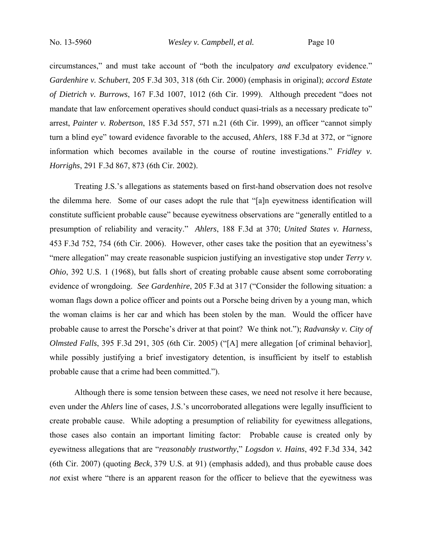circumstances," and must take account of "both the inculpatory *and* exculpatory evidence." *Gardenhire v. Schubert*, 205 F.3d 303, 318 (6th Cir. 2000) (emphasis in original); *accord Estate of Dietrich v. Burrows*, 167 F.3d 1007, 1012 (6th Cir. 1999). Although precedent "does not mandate that law enforcement operatives should conduct quasi-trials as a necessary predicate to" arrest, *Painter v. Robertson*, 185 F.3d 557, 571 n.21 (6th Cir. 1999), an officer "cannot simply turn a blind eye" toward evidence favorable to the accused, *Ahlers*, 188 F.3d at 372, or "ignore information which becomes available in the course of routine investigations." *Fridley v. Horrighs*, 291 F.3d 867, 873 (6th Cir. 2002).

Treating J.S.'s allegations as statements based on first-hand observation does not resolve the dilemma here. Some of our cases adopt the rule that "[a]n eyewitness identification will constitute sufficient probable cause" because eyewitness observations are "generally entitled to a presumption of reliability and veracity." *Ahlers*, 188 F.3d at 370; *United States v. Harness*, 453 F.3d 752, 754 (6th Cir. 2006). However, other cases take the position that an eyewitness's "mere allegation" may create reasonable suspicion justifying an investigative stop under *Terry v. Ohio*, 392 U.S. 1 (1968), but falls short of creating probable cause absent some corroborating evidence of wrongdoing. *See Gardenhire*, 205 F.3d at 317 ("Consider the following situation: a woman flags down a police officer and points out a Porsche being driven by a young man, which the woman claims is her car and which has been stolen by the man. Would the officer have probable cause to arrest the Porsche's driver at that point? We think not."); *Radvansky v. City of Olmsted Falls*, 395 F.3d 291, 305 (6th Cir. 2005) ("[A] mere allegation [of criminal behavior], while possibly justifying a brief investigatory detention, is insufficient by itself to establish probable cause that a crime had been committed.").

Although there is some tension between these cases, we need not resolve it here because, even under the *Ahlers* line of cases, J.S.'s uncorroborated allegations were legally insufficient to create probable cause. While adopting a presumption of reliability for eyewitness allegations, those cases also contain an important limiting factor: Probable cause is created only by eyewitness allegations that are "*reasonably trustworthy*," *Logsdon v. Hains*, 492 F.3d 334, 342 (6th Cir. 2007) (quoting *Beck*, 379 U.S. at 91) (emphasis added), and thus probable cause does *not* exist where "there is an apparent reason for the officer to believe that the eyewitness was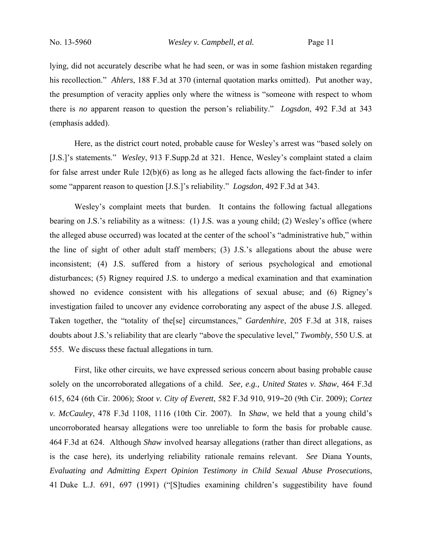lying, did not accurately describe what he had seen, or was in some fashion mistaken regarding his recollection." *Ahlers*, 188 F.3d at 370 (internal quotation marks omitted). Put another way, the presumption of veracity applies only where the witness is "someone with respect to whom there is *no* apparent reason to question the person's reliability." *Logsdon*, 492 F.3d at 343 (emphasis added).

Here, as the district court noted, probable cause for Wesley's arrest was "based solely on [J.S.]'s statements." *Wesley*, 913 F.Supp.2d at 321. Hence, Wesley's complaint stated a claim for false arrest under Rule 12(b)(6) as long as he alleged facts allowing the fact-finder to infer some "apparent reason to question [J.S.]'s reliability." *Logsdon*, 492 F.3d at 343.

Wesley's complaint meets that burden. It contains the following factual allegations bearing on J.S.'s reliability as a witness: (1) J.S. was a young child; (2) Wesley's office (where the alleged abuse occurred) was located at the center of the school's "administrative hub," within the line of sight of other adult staff members; (3) J.S.'s allegations about the abuse were inconsistent; (4) J.S. suffered from a history of serious psychological and emotional disturbances; (5) Rigney required J.S. to undergo a medical examination and that examination showed no evidence consistent with his allegations of sexual abuse; and (6) Rigney's investigation failed to uncover any evidence corroborating any aspect of the abuse J.S. alleged. Taken together, the "totality of the[se] circumstances," *Gardenhire*, 205 F.3d at 318, raises doubts about J.S.'s reliability that are clearly "above the speculative level," *Twombly*, 550 U.S. at 555. We discuss these factual allegations in turn.

First, like other circuits, we have expressed serious concern about basing probable cause solely on the uncorroborated allegations of a child. *See, e.g., United States v. Shaw*, 464 F.3d 615, 624 (6th Cir. 2006); *Stoot v. City of Everett*, 582 F.3d 910, 919‒20 (9th Cir. 2009); *Cortez v. McCauley*, 478 F.3d 1108, 1116 (10th Cir. 2007). In *Shaw*, we held that a young child's uncorroborated hearsay allegations were too unreliable to form the basis for probable cause. 464 F.3d at 624. Although *Shaw* involved hearsay allegations (rather than direct allegations, as is the case here), its underlying reliability rationale remains relevant. *See* Diana Younts, *Evaluating and Admitting Expert Opinion Testimony in Child Sexual Abuse Prosecutions*, 41 Duke L.J. 691, 697 (1991) ("[S]tudies examining children's suggestibility have found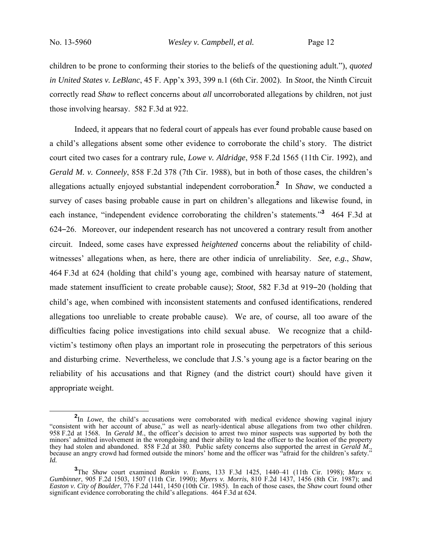children to be prone to conforming their stories to the beliefs of the questioning adult."), *quoted in United States v. LeBlanc*, 45 F. App'x 393, 399 n.1 (6th Cir. 2002). In *Stoot*, the Ninth Circuit correctly read *Shaw* to reflect concerns about *all* uncorroborated allegations by children, not just those involving hearsay. 582 F.3d at 922.

 Indeed, it appears that no federal court of appeals has ever found probable cause based on a child's allegations absent some other evidence to corroborate the child's story. The district court cited two cases for a contrary rule, *Lowe v. Aldridge*, 958 F.2d 1565 (11th Cir. 1992), and *Gerald M. v. Conneely*, 858 F.2d 378 (7th Cir. 1988), but in both of those cases, the children's allegations actually enjoyed substantial independent corroboration.**<sup>2</sup>** In *Shaw*, we conducted a survey of cases basing probable cause in part on children's allegations and likewise found, in each instance, "independent evidence corroborating the children's statements."<sup>3</sup> 464 F.3d at 624‒26. Moreover, our independent research has not uncovered a contrary result from another circuit. Indeed, some cases have expressed *heightened* concerns about the reliability of childwitnesses' allegations when, as here, there are other indicia of unreliability. *See, e.g.*, *Shaw*, 464 F.3d at 624 (holding that child's young age, combined with hearsay nature of statement, made statement insufficient to create probable cause); *Stoot*, 582 F.3d at 919–20 (holding that child's age, when combined with inconsistent statements and confused identifications, rendered allegations too unreliable to create probable cause). We are, of course, all too aware of the difficulties facing police investigations into child sexual abuse. We recognize that a childvictim's testimony often plays an important role in prosecuting the perpetrators of this serious and disturbing crime. Nevertheless, we conclude that J.S.'s young age is a factor bearing on the reliability of his accusations and that Rigney (and the district court) should have given it appropriate weight.

 $\frac{1}{2}$ <sup>2</sup>In *Lowe*, the child's accusations were corroborated with medical evidence showing vaginal injury "consistent with her account of abuse," as well as nearly-identical abuse allegations from two other children. 958 F.2d at 1568. In *Gerald M.*, the officer's decision to arrest two minor suspects was supported by both the minors' admitted involvement in the wrongdoing and their ability to lead the officer to the location of the property they had stolen and abandoned. 858 F.2d at 380. Public safety concerns also supported the arrest in *Gerald M.*, because an angry crowd had formed outside the minors' home and the officer was "afraid for the children's saf *Id.*

**<sup>3</sup>** The *Shaw* court examined *Rankin v. Evans*, 133 F.3d 1425, 1440–41 (11th Cir. 1998); *Marx v. Gumbinner*, 905 F.2d 1503, 1507 (11th Cir. 1990); *Myers v. Morris*, 810 F.2d 1437, 1456 (8th Cir. 1987); and *Easton v. City of Boulder*, 776 F.2d 1441, 1450 (10th Cir. 1985). In each of those cases, the *Shaw* court found other significant evidence corroborating the child's allegations. 464 F.3d at 624.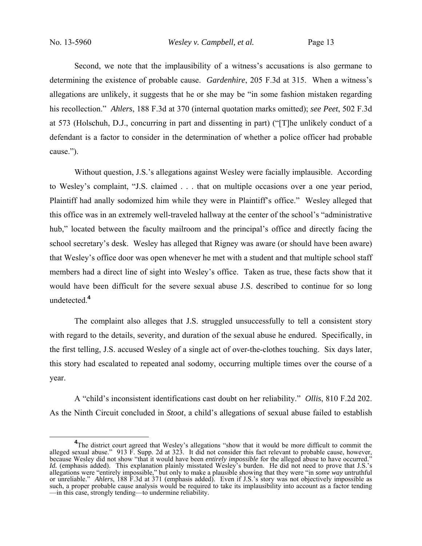Second, we note that the implausibility of a witness's accusations is also germane to determining the existence of probable cause. *Gardenhire*, 205 F.3d at 315. When a witness's allegations are unlikely, it suggests that he or she may be "in some fashion mistaken regarding his recollection." *Ahlers*, 188 F.3d at 370 (internal quotation marks omitted); *see Peet*, 502 F.3d at 573 (Holschuh, D.J., concurring in part and dissenting in part) ("[T]he unlikely conduct of a defendant is a factor to consider in the determination of whether a police officer had probable cause.").

Without question, J.S.'s allegations against Wesley were facially implausible. According to Wesley's complaint, "J.S. claimed . . . that on multiple occasions over a one year period, Plaintiff had anally sodomized him while they were in Plaintiff's office." Wesley alleged that this office was in an extremely well-traveled hallway at the center of the school's "administrative hub," located between the faculty mailroom and the principal's office and directly facing the school secretary's desk. Wesley has alleged that Rigney was aware (or should have been aware) that Wesley's office door was open whenever he met with a student and that multiple school staff members had a direct line of sight into Wesley's office. Taken as true, these facts show that it would have been difficult for the severe sexual abuse J.S. described to continue for so long undetected.**<sup>4</sup>**

The complaint also alleges that J.S. struggled unsuccessfully to tell a consistent story with regard to the details, severity, and duration of the sexual abuse he endured. Specifically, in the first telling, J.S. accused Wesley of a single act of over-the-clothes touching. Six days later, this story had escalated to repeated anal sodomy, occurring multiple times over the course of a year.

A "child's inconsistent identifications cast doubt on her reliability." *Ollis*, 810 F.2d 202. As the Ninth Circuit concluded in *Stoot*, a child's allegations of sexual abuse failed to establish

<sup>&</sup>lt;sup>4</sup>The district court agreed that Wesley's allegations "show that it would be more difficult to commit the alleged sexual abuse." 913 F. Supp. 2d at 323. It did not consider this fact relevant to probable cause, however, because Wesley did not show "that it would have been *entirely impossible* for the alleged abuse to have occurred." *Id.* (emphasis added). This explanation plainly misstated Wesley's burden. He did not need to prove that J.S.'s allegations were "entirely impossible," but only to make a plausible showing that they were "in *some way* untruthful or unreliable." *Ahlers*, 188 F.3d at 371 (emphasis added). Even if J.S.'s story was not objectively impossible as such, a proper probable cause analysis would be required to take its implausibility into account as a factor tending —in this case, strongly tending—to undermine reliability.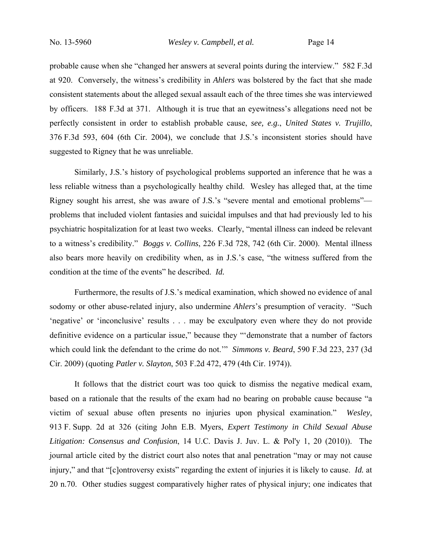probable cause when she "changed her answers at several points during the interview." 582 F.3d at 920. Conversely, the witness's credibility in *Ahlers* was bolstered by the fact that she made consistent statements about the alleged sexual assault each of the three times she was interviewed by officers. 188 F.3d at 371. Although it is true that an eyewitness's allegations need not be perfectly consistent in order to establish probable cause, *see, e.g.*, *United States v. Trujillo*, 376 F.3d 593, 604 (6th Cir. 2004), we conclude that J.S.'s inconsistent stories should have suggested to Rigney that he was unreliable.

Similarly, J.S.'s history of psychological problems supported an inference that he was a less reliable witness than a psychologically healthy child. Wesley has alleged that, at the time Rigney sought his arrest, she was aware of J.S.'s "severe mental and emotional problems" problems that included violent fantasies and suicidal impulses and that had previously led to his psychiatric hospitalization for at least two weeks. Clearly, "mental illness can indeed be relevant to a witness's credibility." *Boggs v. Collins*, 226 F.3d 728, 742 (6th Cir. 2000). Mental illness also bears more heavily on credibility when, as in J.S.'s case, "the witness suffered from the condition at the time of the events" he described. *Id.*

 Furthermore, the results of J.S.'s medical examination, which showed no evidence of anal sodomy or other abuse-related injury, also undermine *Ahlers*'s presumption of veracity. "Such 'negative' or 'inconclusive' results . . . may be exculpatory even where they do not provide definitive evidence on a particular issue," because they "'demonstrate that a number of factors which could link the defendant to the crime do not.'" *Simmons v. Beard*, 590 F.3d 223, 237 (3d Cir. 2009) (quoting *Patler v. Slayton*, 503 F.2d 472, 479 (4th Cir. 1974)).

 It follows that the district court was too quick to dismiss the negative medical exam, based on a rationale that the results of the exam had no bearing on probable cause because "a victim of sexual abuse often presents no injuries upon physical examination." *Wesley*, 913 F. Supp. 2d at 326 (citing John E.B. Myers, *Expert Testimony in Child Sexual Abuse Litigation: Consensus and Confusion*, 14 U.C. Davis J. Juv. L. & Pol'y 1, 20 (2010)). The journal article cited by the district court also notes that anal penetration "may or may not cause injury," and that "[c]ontroversy exists" regarding the extent of injuries it is likely to cause. *Id.* at 20 n.70. Other studies suggest comparatively higher rates of physical injury; one indicates that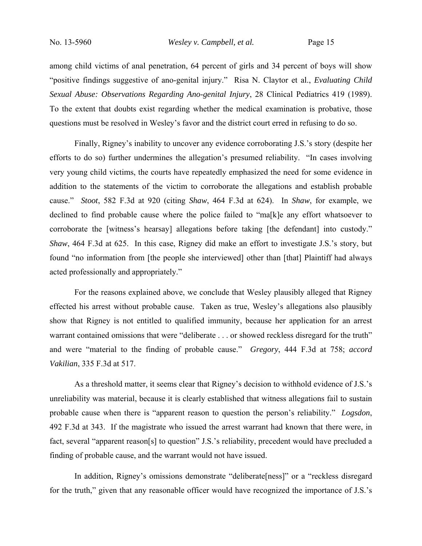among child victims of anal penetration, 64 percent of girls and 34 percent of boys will show "positive findings suggestive of ano-genital injury." Risa N. Claytor et al., *Evaluating Child Sexual Abuse: Observations Regarding Ano-genital Injury*, 28 Clinical Pediatrics 419 (1989). To the extent that doubts exist regarding whether the medical examination is probative, those questions must be resolved in Wesley's favor and the district court erred in refusing to do so.

Finally, Rigney's inability to uncover any evidence corroborating J.S.'s story (despite her efforts to do so) further undermines the allegation's presumed reliability. "In cases involving very young child victims, the courts have repeatedly emphasized the need for some evidence in addition to the statements of the victim to corroborate the allegations and establish probable cause." *Stoot*, 582 F.3d at 920 (citing *Shaw*, 464 F.3d at 624). In *Shaw*, for example, we declined to find probable cause where the police failed to "ma[k]e any effort whatsoever to corroborate the [witness's hearsay] allegations before taking [the defendant] into custody." *Shaw*, 464 F.3d at 625. In this case, Rigney did make an effort to investigate J.S.'s story, but found "no information from [the people she interviewed] other than [that] Plaintiff had always acted professionally and appropriately."

For the reasons explained above, we conclude that Wesley plausibly alleged that Rigney effected his arrest without probable cause. Taken as true, Wesley's allegations also plausibly show that Rigney is not entitled to qualified immunity, because her application for an arrest warrant contained omissions that were "deliberate . . . or showed reckless disregard for the truth" and were "material to the finding of probable cause." *Gregory*, 444 F.3d at 758; *accord Vakilian*, 335 F.3d at 517.

As a threshold matter, it seems clear that Rigney's decision to withhold evidence of J.S.'s unreliability was material, because it is clearly established that witness allegations fail to sustain probable cause when there is "apparent reason to question the person's reliability." *Logsdon*, 492 F.3d at 343. If the magistrate who issued the arrest warrant had known that there were, in fact, several "apparent reason[s] to question" J.S.'s reliability, precedent would have precluded a finding of probable cause, and the warrant would not have issued.

In addition, Rigney's omissions demonstrate "deliberate[ness]" or a "reckless disregard for the truth," given that any reasonable officer would have recognized the importance of J.S.'s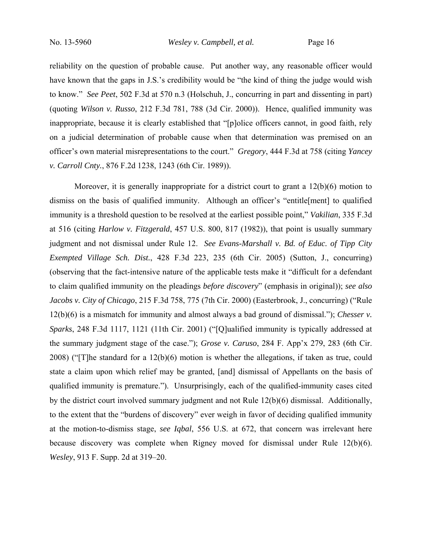reliability on the question of probable cause. Put another way, any reasonable officer would have known that the gaps in J.S.'s credibility would be "the kind of thing the judge would wish to know." *See Peet*, 502 F.3d at 570 n.3 (Holschuh, J., concurring in part and dissenting in part) (quoting *Wilson v. Russo*, 212 F.3d 781, 788 (3d Cir. 2000)). Hence, qualified immunity was inappropriate, because it is clearly established that "[p]olice officers cannot, in good faith, rely on a judicial determination of probable cause when that determination was premised on an officer's own material misrepresentations to the court." *Gregory*, 444 F.3d at 758 (citing *Yancey v. Carroll Cnty.*, 876 F.2d 1238, 1243 (6th Cir. 1989)).

Moreover, it is generally inappropriate for a district court to grant a 12(b)(6) motion to dismiss on the basis of qualified immunity. Although an officer's "entitle[ment] to qualified immunity is a threshold question to be resolved at the earliest possible point," *Vakilian*, 335 F.3d at 516 (citing *Harlow v. Fitzgerald*, 457 U.S. 800, 817 (1982)), that point is usually summary judgment and not dismissal under Rule 12. *See Evans-Marshall v. Bd. of Educ. of Tipp City Exempted Village Sch. Dist.*, 428 F.3d 223, 235 (6th Cir. 2005) (Sutton, J., concurring) (observing that the fact-intensive nature of the applicable tests make it "difficult for a defendant to claim qualified immunity on the pleadings *before discovery*" (emphasis in original)); *see also Jacobs v. City of Chicago*, 215 F.3d 758, 775 (7th Cir. 2000) (Easterbrook, J., concurring) ("Rule 12(b)(6) is a mismatch for immunity and almost always a bad ground of dismissal."); *Chesser v. Sparks*, 248 F.3d 1117, 1121 (11th Cir. 2001) ("[Q]ualified immunity is typically addressed at the summary judgment stage of the case."); *Grose v. Caruso*, 284 F. App'x 279, 283 (6th Cir. 2008) ("[T]he standard for a 12(b)(6) motion is whether the allegations, if taken as true, could state a claim upon which relief may be granted, [and] dismissal of Appellants on the basis of qualified immunity is premature."). Unsurprisingly, each of the qualified-immunity cases cited by the district court involved summary judgment and not Rule 12(b)(6) dismissal. Additionally, to the extent that the "burdens of discovery" ever weigh in favor of deciding qualified immunity at the motion-to-dismiss stage, *see Iqbal*, 556 U.S. at 672, that concern was irrelevant here because discovery was complete when Rigney moved for dismissal under Rule 12(b)(6). *Wesley*, 913 F. Supp. 2d at 319–20.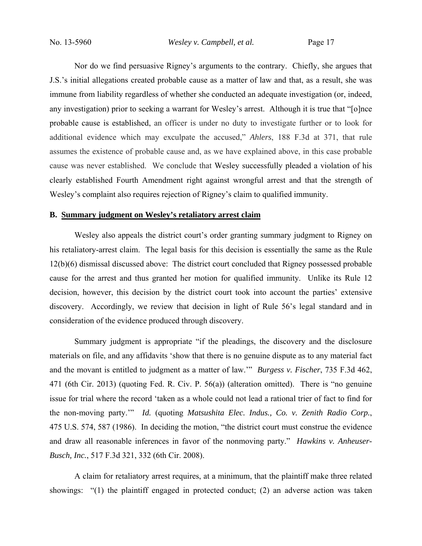Nor do we find persuasive Rigney's arguments to the contrary. Chiefly, she argues that J.S.'s initial allegations created probable cause as a matter of law and that, as a result, she was immune from liability regardless of whether she conducted an adequate investigation (or, indeed, any investigation) prior to seeking a warrant for Wesley's arrest. Although it is true that "[o]nce probable cause is established, an officer is under no duty to investigate further or to look for additional evidence which may exculpate the accused," *Ahlers*, 188 F.3d at 371, that rule assumes the existence of probable cause and, as we have explained above, in this case probable cause was never established. We conclude that Wesley successfully pleaded a violation of his clearly established Fourth Amendment right against wrongful arrest and that the strength of Wesley's complaint also requires rejection of Rigney's claim to qualified immunity.

#### **B. Summary judgment on Wesley's retaliatory arrest claim**

Wesley also appeals the district court's order granting summary judgment to Rigney on his retaliatory-arrest claim. The legal basis for this decision is essentially the same as the Rule 12(b)(6) dismissal discussed above: The district court concluded that Rigney possessed probable cause for the arrest and thus granted her motion for qualified immunity. Unlike its Rule 12 decision, however, this decision by the district court took into account the parties' extensive discovery. Accordingly, we review that decision in light of Rule 56's legal standard and in consideration of the evidence produced through discovery.

Summary judgment is appropriate "if the pleadings, the discovery and the disclosure materials on file, and any affidavits 'show that there is no genuine dispute as to any material fact and the movant is entitled to judgment as a matter of law.'" *Burgess v. Fischer*, 735 F.3d 462, 471 (6th Cir. 2013) (quoting Fed. R. Civ. P. 56(a)) (alteration omitted). There is "no genuine issue for trial where the record 'taken as a whole could not lead a rational trier of fact to find for the non-moving party.'" *Id.* (quoting *Matsushita Elec. Indus., Co. v. Zenith Radio Corp.*, 475 U.S. 574, 587 (1986). In deciding the motion, "the district court must construe the evidence and draw all reasonable inferences in favor of the nonmoving party." *Hawkins v. Anheuser-Busch, Inc.*, 517 F.3d 321, 332 (6th Cir. 2008).

A claim for retaliatory arrest requires, at a minimum, that the plaintiff make three related showings: "(1) the plaintiff engaged in protected conduct; (2) an adverse action was taken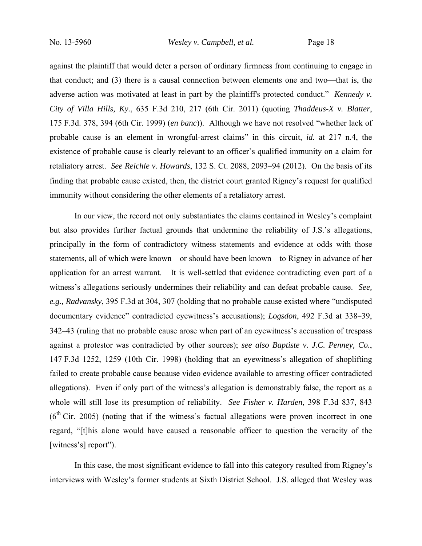against the plaintiff that would deter a person of ordinary firmness from continuing to engage in that conduct; and (3) there is a causal connection between elements one and two—that is, the adverse action was motivated at least in part by the plaintiff's protected conduct." *Kennedy v. City of Villa Hills, Ky.*, 635 F.3d 210, 217 (6th Cir. 2011) (quoting *Thaddeus-X v. Blatter*, 175 F.3d. 378, 394 (6th Cir. 1999) (*en banc*)). Although we have not resolved "whether lack of probable cause is an element in wrongful-arrest claims" in this circuit, *id.* at 217 n.4, the existence of probable cause is clearly relevant to an officer's qualified immunity on a claim for retaliatory arrest. *See Reichle v. Howards*, 132 S. Ct. 2088, 2093–94 (2012). On the basis of its finding that probable cause existed, then, the district court granted Rigney's request for qualified immunity without considering the other elements of a retaliatory arrest.

In our view, the record not only substantiates the claims contained in Wesley's complaint but also provides further factual grounds that undermine the reliability of J.S.'s allegations, principally in the form of contradictory witness statements and evidence at odds with those statements, all of which were known—or should have been known—to Rigney in advance of her application for an arrest warrant. It is well-settled that evidence contradicting even part of a witness's allegations seriously undermines their reliability and can defeat probable cause. *See, e.g., Radvansky*, 395 F.3d at 304, 307 (holding that no probable cause existed where "undisputed documentary evidence" contradicted eyewitness's accusations); *Logsdon*, 492 F.3d at 338–39, 342–43 (ruling that no probable cause arose when part of an eyewitness's accusation of trespass against a protestor was contradicted by other sources); *see also Baptiste v. J.C. Penney, Co.*, 147 F.3d 1252, 1259 (10th Cir. 1998) (holding that an eyewitness's allegation of shoplifting failed to create probable cause because video evidence available to arresting officer contradicted allegations). Even if only part of the witness's allegation is demonstrably false, the report as a whole will still lose its presumption of reliability. *See Fisher v. Harden*, 398 F.3d 837, 843  $(6<sup>th</sup> Cir. 2005)$  (noting that if the witness's factual allegations were proven incorrect in one regard, "[t]his alone would have caused a reasonable officer to question the veracity of the [witness's] report").

In this case, the most significant evidence to fall into this category resulted from Rigney's interviews with Wesley's former students at Sixth District School. J.S. alleged that Wesley was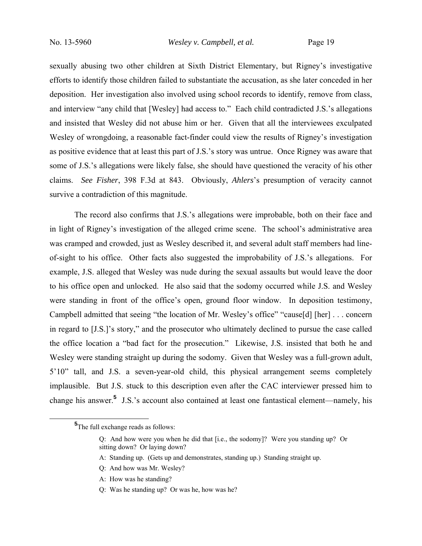sexually abusing two other children at Sixth District Elementary, but Rigney's investigative efforts to identify those children failed to substantiate the accusation, as she later conceded in her deposition. Her investigation also involved using school records to identify, remove from class, and interview "any child that [Wesley] had access to." Each child contradicted J.S.'s allegations and insisted that Wesley did not abuse him or her. Given that all the interviewees exculpated Wesley of wrongdoing, a reasonable fact-finder could view the results of Rigney's investigation as positive evidence that at least this part of J.S.'s story was untrue. Once Rigney was aware that some of J.S.'s allegations were likely false, she should have questioned the veracity of his other claims. *See Fisher*, 398 F.3d at 843. Obviously, *Ahlers*'s presumption of veracity cannot survive a contradiction of this magnitude.

The record also confirms that J.S.'s allegations were improbable, both on their face and in light of Rigney's investigation of the alleged crime scene. The school's administrative area was cramped and crowded, just as Wesley described it, and several adult staff members had lineof-sight to his office. Other facts also suggested the improbability of J.S.'s allegations. For example, J.S. alleged that Wesley was nude during the sexual assaults but would leave the door to his office open and unlocked. He also said that the sodomy occurred while J.S. and Wesley were standing in front of the office's open, ground floor window. In deposition testimony, Campbell admitted that seeing "the location of Mr. Wesley's office" "cause[d] [her] . . . concern in regard to [J.S.]'s story," and the prosecutor who ultimately declined to pursue the case called the office location a "bad fact for the prosecution." Likewise, J.S. insisted that both he and Wesley were standing straight up during the sodomy. Given that Wesley was a full-grown adult, 5'10" tall, and J.S. a seven-year-old child, this physical arrangement seems completely implausible. But J.S. stuck to this description even after the CAC interviewer pressed him to change his answer.**<sup>5</sup>** J.S.'s account also contained at least one fantastical element—namely, his

A: How was he standing?

**<sup>5</sup> 5**The full exchange reads as follows:

Q: And how were you when he did that [i.e., the sodomy]? Were you standing up? Or sitting down? Or laying down?

A: Standing up. (Gets up and demonstrates, standing up.) Standing straight up.

Q: And how was Mr. Wesley?

Q: Was he standing up? Or was he, how was he?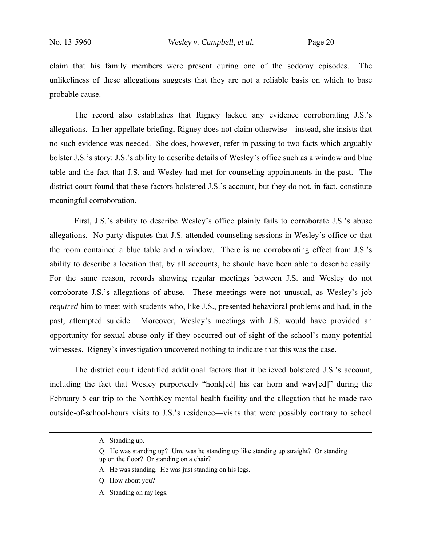claim that his family members were present during one of the sodomy episodes. The unlikeliness of these allegations suggests that they are not a reliable basis on which to base probable cause.

 The record also establishes that Rigney lacked any evidence corroborating J.S.'s allegations. In her appellate briefing, Rigney does not claim otherwise—instead, she insists that no such evidence was needed. She does, however, refer in passing to two facts which arguably bolster J.S.'s story: J.S.'s ability to describe details of Wesley's office such as a window and blue table and the fact that J.S. and Wesley had met for counseling appointments in the past. The district court found that these factors bolstered J.S.'s account, but they do not, in fact, constitute meaningful corroboration.

First, J.S.'s ability to describe Wesley's office plainly fails to corroborate J.S.'s abuse allegations. No party disputes that J.S. attended counseling sessions in Wesley's office or that the room contained a blue table and a window. There is no corroborating effect from J.S.'s ability to describe a location that, by all accounts, he should have been able to describe easily. For the same reason, records showing regular meetings between J.S. and Wesley do not corroborate J.S.'s allegations of abuse. These meetings were not unusual, as Wesley's job *required* him to meet with students who, like J.S., presented behavioral problems and had, in the past, attempted suicide. Moreover, Wesley's meetings with J.S. would have provided an opportunity for sexual abuse only if they occurred out of sight of the school's many potential witnesses. Rigney's investigation uncovered nothing to indicate that this was the case.

The district court identified additional factors that it believed bolstered J.S.'s account, including the fact that Wesley purportedly "honk[ed] his car horn and wav[ed]" during the February 5 car trip to the NorthKey mental health facility and the allegation that he made two outside-of-school-hours visits to J.S.'s residence—visits that were possibly contrary to school

A: Standing on my legs.

A: Standing up.

Q: He was standing up? Um, was he standing up like standing up straight? Or standing up on the floor? Or standing on a chair?

A: He was standing. He was just standing on his legs.

Q: How about you?